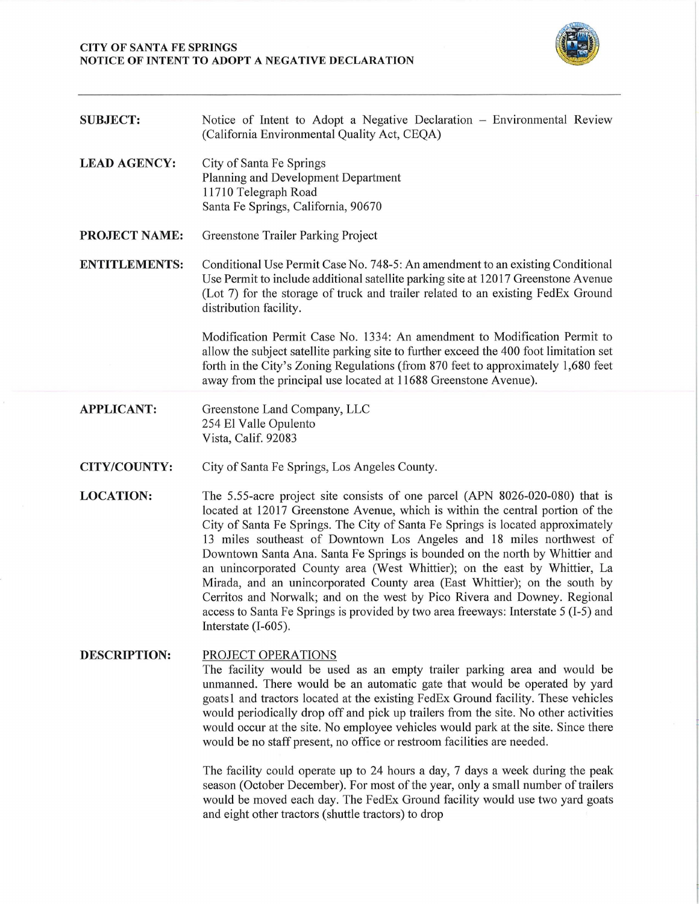## **CITY OF SANTA FE SPRINGS NOTICE OF INTENT TO ADOPT A NEGATIVE DECLARATION**



| <b>SUBJECT:</b>      | Notice of Intent to Adopt a Negative Declaration – Environmental Review<br>(California Environmental Quality Act, CEQA)                                                                                                                                                                                                                                                                                                                                                                                                                                                                                                                                                                                                                                             |
|----------------------|---------------------------------------------------------------------------------------------------------------------------------------------------------------------------------------------------------------------------------------------------------------------------------------------------------------------------------------------------------------------------------------------------------------------------------------------------------------------------------------------------------------------------------------------------------------------------------------------------------------------------------------------------------------------------------------------------------------------------------------------------------------------|
| <b>LEAD AGENCY:</b>  | City of Santa Fe Springs<br>Planning and Development Department<br>11710 Telegraph Road<br>Santa Fe Springs, California, 90670                                                                                                                                                                                                                                                                                                                                                                                                                                                                                                                                                                                                                                      |
| <b>PROJECT NAME:</b> | Greenstone Trailer Parking Project                                                                                                                                                                                                                                                                                                                                                                                                                                                                                                                                                                                                                                                                                                                                  |
| <b>ENTITLEMENTS:</b> | Conditional Use Permit Case No. 748-5: An amendment to an existing Conditional<br>Use Permit to include additional satellite parking site at 12017 Greenstone Avenue<br>(Lot 7) for the storage of truck and trailer related to an existing FedEx Ground<br>distribution facility.                                                                                                                                                                                                                                                                                                                                                                                                                                                                                  |
|                      | Modification Permit Case No. 1334: An amendment to Modification Permit to<br>allow the subject satellite parking site to further exceed the 400 foot limitation set<br>forth in the City's Zoning Regulations (from 870 feet to approximately 1,680 feet<br>away from the principal use located at 11688 Greenstone Avenue).                                                                                                                                                                                                                                                                                                                                                                                                                                        |
| <b>APPLICANT:</b>    | Greenstone Land Company, LLC<br>254 El Valle Opulento<br>Vista, Calif. 92083                                                                                                                                                                                                                                                                                                                                                                                                                                                                                                                                                                                                                                                                                        |
| <b>CITY/COUNTY:</b>  | City of Santa Fe Springs, Los Angeles County.                                                                                                                                                                                                                                                                                                                                                                                                                                                                                                                                                                                                                                                                                                                       |
| <b>LOCATION:</b>     | The 5.55-acre project site consists of one parcel (APN 8026-020-080) that is<br>located at 12017 Greenstone Avenue, which is within the central portion of the<br>City of Santa Fe Springs. The City of Santa Fe Springs is located approximately<br>13 miles southeast of Downtown Los Angeles and 18 miles northwest of<br>Downtown Santa Ana. Santa Fe Springs is bounded on the north by Whittier and<br>an unincorporated County area (West Whittier); on the east by Whittier, La<br>Mirada, and an unincorporated County area (East Whittier); on the south by<br>Cerritos and Norwalk; and on the west by Pico Rivera and Downey. Regional<br>access to Santa Fe Springs is provided by two area freeways: Interstate 5 (I-5) and<br>Interstate $(I-605)$ . |
| <b>DESCRIPTION:</b>  | PROJECT OPERATIONS<br>The facility would be used as an empty trailer parking area and would be                                                                                                                                                                                                                                                                                                                                                                                                                                                                                                                                                                                                                                                                      |

unmanned. There would be an automatic gate that would be operated by yard goatsl and tractors located at the existing FedEx Ground facility. These vehicles would periodically drop off and pick up trailers from the site. No other activities would occur at the site. No employee vehicles would park at the site. Since there would be no staff present, no office or restroom facilities are needed.

The facility could operate up to 24 hours a day, 7 days a week during the peak season (October December). For most of the year, only a small number of trailers would be moved each day. The FedEx Ground facility would use two yard goats and eight other tractors ( shuttle tractors) to drop